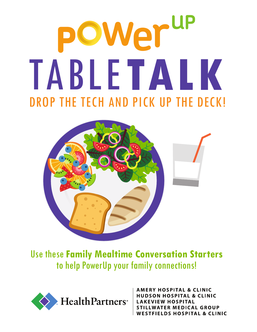## OWer<sup>up</sup> TABLE**TALK** DROP THE TECH AND PICK UP THE DECK!



Use these **Family Mealtime Conversation Starters**  to help PowerUp your family connections!



**AMERY HOSPITAL & CLINIC JDSON HOSPITAL & CLINIC AKEVIEW HOSPITAL STILLWATER MEDICAL GROUP WESTFIELDS HOSPITAL & CLINIC**